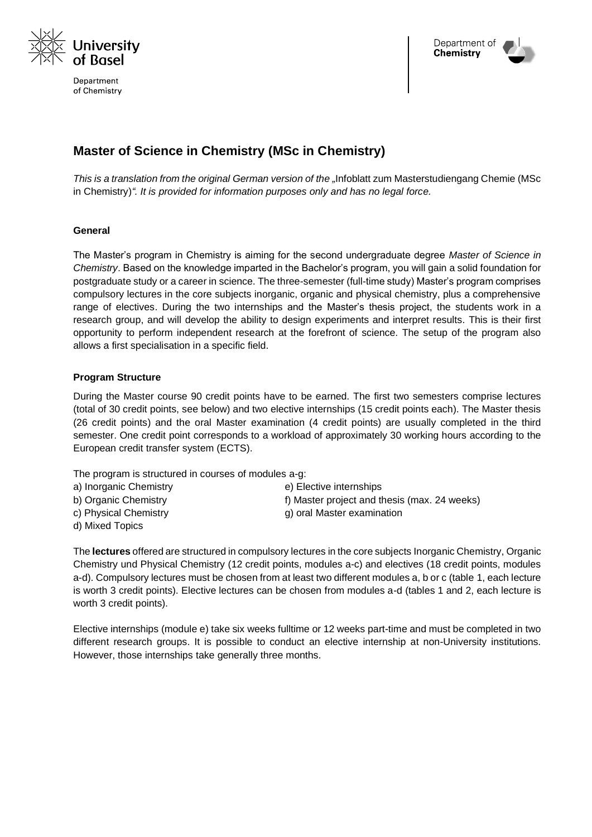

Department of Chemistry



# **Master of Science in Chemistry (MSc in Chemistry)**

*This is a translation from the original German version of the "Infoblatt zum Masterstudiengang Chemie (MSc* in Chemistry)*". It is provided for information purposes only and has no legal force.*

# **General**

The Master's program in Chemistry is aiming for the second undergraduate degree *Master of Science in Chemistry*. Based on the knowledge imparted in the Bachelor's program, you will gain a solid foundation for postgraduate study or a career in science. The three-semester (full-time study) Master's program comprises compulsory lectures in the core subjects inorganic, organic and physical chemistry, plus a comprehensive range of electives. During the two internships and the Master's thesis project, the students work in a research group, and will develop the ability to design experiments and interpret results. This is their first opportunity to perform independent research at the forefront of science. The setup of the program also allows a first specialisation in a specific field.

# **Program Structure**

During the Master course 90 credit points have to be earned. The first two semesters comprise lectures (total of 30 credit points, see below) and two elective internships (15 credit points each). The Master thesis (26 credit points) and the oral Master examination (4 credit points) are usually completed in the third semester. One credit point corresponds to a workload of approximately 30 working hours according to the European credit transfer system (ECTS).

The program is structured in courses of modules a-g:

- a) Inorganic Chemistry e) Elective internships
	-
- b) Organic Chemistry f) Master project and thesis (max. 24 weeks)
- 
- d) Mixed Topics
- c) Physical Chemistry and Theorem and Control of Physical Chemistry and Theorem and Government Control of Physical American control of Physical American control of Physical American control of Physical American control of

The **lectures** offered are structured in compulsory lectures in the core subjects Inorganic Chemistry, Organic Chemistry und Physical Chemistry (12 credit points, modules a-c) and electives (18 credit points, modules a-d). Compulsory lectures must be chosen from at least two different modules a, b or c (table 1, each lecture is worth 3 credit points). Elective lectures can be chosen from modules a-d (tables 1 and 2, each lecture is worth 3 credit points).

Elective internships (module e) take six weeks fulltime or 12 weeks part-time and must be completed in two different research groups. It is possible to conduct an elective internship at non-University institutions. However, those internships take generally three months.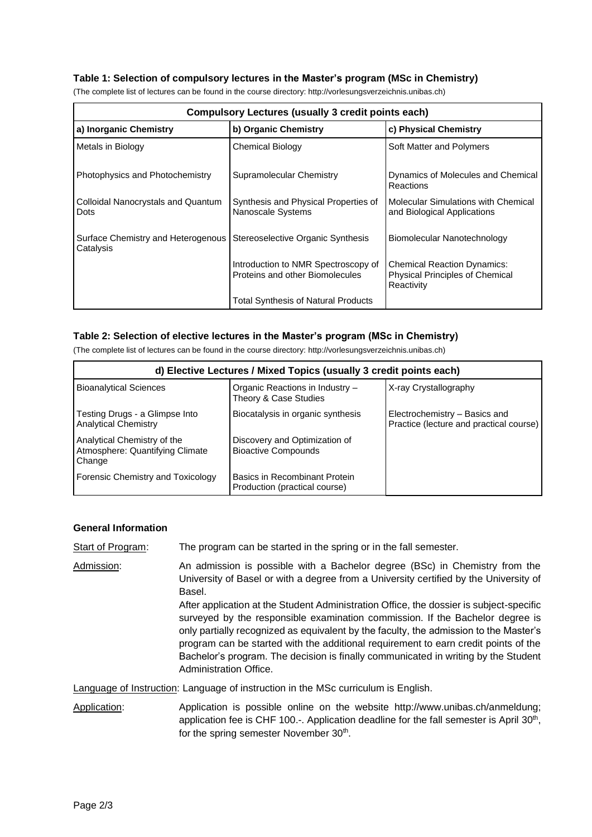## **Table 1: Selection of compulsory lectures in the Master's program (MSc in Chemistry)**

| <b>Compulsory Lectures (usually 3 credit points each)</b> |                                                                        |                                                                                     |  |
|-----------------------------------------------------------|------------------------------------------------------------------------|-------------------------------------------------------------------------------------|--|
| a) Inorganic Chemistry                                    | b) Organic Chemistry                                                   | c) Physical Chemistry                                                               |  |
| Metals in Biology                                         | <b>Chemical Biology</b>                                                | Soft Matter and Polymers                                                            |  |
| Photophysics and Photochemistry                           | Supramolecular Chemistry                                               | Dynamics of Molecules and Chemical<br>Reactions                                     |  |
| Colloidal Nanocrystals and Quantum<br>Dots                | Synthesis and Physical Properties of<br>Nanoscale Systems              | Molecular Simulations with Chemical<br>and Biological Applications                  |  |
| Surface Chemistry and Heterogenous<br>Catalysis           | Stereoselective Organic Synthesis                                      | Biomolecular Nanotechnology                                                         |  |
|                                                           | Introduction to NMR Spectroscopy of<br>Proteins and other Biomolecules | <b>Chemical Reaction Dynamics:</b><br>Physical Principles of Chemical<br>Reactivity |  |
|                                                           | <b>Total Synthesis of Natural Products</b>                             |                                                                                     |  |

(The complete list of lectures can be found in the course directory: http://vorlesungsverzeichnis.unibas.ch)

#### **Table 2: Selection of elective lectures in the Master's program (MSc in Chemistry)**

(The complete list of lectures can be found in the course directory: http://vorlesungsverzeichnis.unibas.ch)

| d) Elective Lectures / Mixed Topics (usually 3 credit points each)       |                                                                |                                                                          |  |
|--------------------------------------------------------------------------|----------------------------------------------------------------|--------------------------------------------------------------------------|--|
| <b>Bioanalytical Sciences</b>                                            | Organic Reactions in Industry -<br>Theory & Case Studies       | X-ray Crystallography                                                    |  |
| Testing Drugs - a Glimpse Into<br><b>Analytical Chemistry</b>            | Biocatalysis in organic synthesis                              | Electrochemistry - Basics and<br>Practice (lecture and practical course) |  |
| Analytical Chemistry of the<br>Atmosphere: Quantifying Climate<br>Change | Discovery and Optimization of<br><b>Bioactive Compounds</b>    |                                                                          |  |
| Forensic Chemistry and Toxicology                                        | Basics in Recombinant Protein<br>Production (practical course) |                                                                          |  |

#### **General Information**

Start of Program: The program can be started in the spring or in the fall semester.

Admission: An admission is possible with a Bachelor degree (BSc) in Chemistry from the University of Basel or with a degree from a University certified by the University of Basel. After application at the Student Administration Office, the dossier is subject-specific surveyed by the responsible examination commission. If the Bachelor degree is only partially recognized as equivalent by the faculty, the admission to the Master's program can be started with the additional requirement to earn credit points of the Bachelor's program. The decision is finally communicated in writing by the Student Administration Office.

Language of Instruction: Language of instruction in the MSc curriculum is English.

Application: Application is possible online on the website http://www.unibas.ch/anmeldung; application fee is CHF 100. $-$ . Application deadline for the fall semester is April 30<sup>th</sup>, for the spring semester November 30<sup>th</sup>.